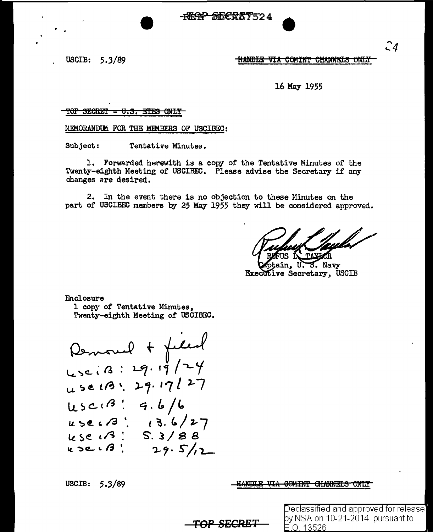$\begin{picture}(180,10) \put(0,0){\vector(1,0){150}} \put(15,0){\vector(1,0){150}} \put(15,0){\vector(1,0){150}} \put(15,0){\vector(1,0){150}} \put(15,0){\vector(1,0){150}} \put(15,0){\vector(1,0){150}} \put(15,0){\vector(1,0){150}} \put(15,0){\vector(1,0){150}} \put(15,0){\vector(1,0){150}} \put(15,0){\vector(1,0){150}} \put(15,0){\vector(1,0){150}}$ 



HANDLE VIA COMINT CHANNELS ONLY

16 May 1955

#### TOP SECRET - U.S. EYES ONLY

MEMORANDUM FOR THE MEMBERS OF USCIBEC:

Subject: Tentative Minutes.

l. Forwarded herewith is a copy of the Tentative Minutes of the Twenty-eighth Meeting of USCIBEC. Please advise the Secretary if any changes are desired.

2. In the event there is no objection to these Minutes on the part of USCIBEC members by 25 May 1955 they will be considered approved.

S. Navy **Executive Secretary, USCIB** 

Enclosure

1 copy of Tentative Minutes, Twenty-eighth Meeting of USCIBEC.

Remoul + field  $L_3 c. 13 : 29. 19 / 79$  $u > c \cdot 3$ .  $k$  se  $1/3$  ! k 2C ( 13 '. use 13: 29.17/27  $usc18:9.6/6$  $\frac{1}{5}$ . 3/88  $29.5/12$ 

USCIB:  $5.3/89$ 

ANDLE VIA GOMINT CHANNEIS ONLY

*TOP SECRET* 

Declassified and approved for release] y NSA on 10-21-2014 pursuant to .0. 13526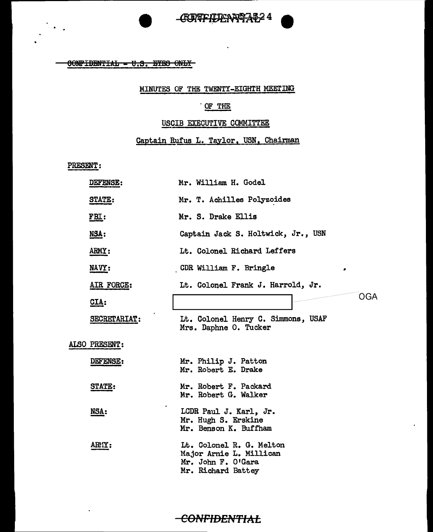

 $60$ NPIBENTIAL - U.S. EYES ONLY

#### MINUTES OF THE TWENTY-EIGHTH MEETING

### . OF THE

#### USCIB EXECUTIVE COMMITTEE

#### Captain Rufus L. Taylor, USN, Chairman

PRESENT:

| DEFENSE:      | Mr. William H. Godel                                                                            |
|---------------|-------------------------------------------------------------------------------------------------|
| <b>STATE:</b> | Mr. T. Achilles Polyzoides                                                                      |
| FBL:          | Mr. S. Drake Ellis                                                                              |
| <u>NSA:</u>   | Captain Jack S. Holtwick, Jr., USN                                                              |
| ARMY:         | Lt. Colonel Richard Leffers                                                                     |
| NAVY:         | CDR William F. Bringle<br>٠                                                                     |
| AIR FORCE:    | Lt. Colonel Frank J. Harrold, Jr.                                                               |
| CLA:          | OGA                                                                                             |
| SECRETARIAT:  | Lt. Colonel Henry C. Simmons, USAF<br>Mrs. Daphne O. Tucker                                     |
| ALSO PRESENT: |                                                                                                 |
| DEFENSE:      | Mr. Philip J. Patton<br>Mr. Robert E. Drake                                                     |
| <b>STATE:</b> | Mr. Robert F. Packard<br>Mr. Robert G. Walker                                                   |
| NSA:          | LCDR Paul J. Karl, Jr.<br>Mr. Hugh S. Erskine<br>Mr. Benson K. Buffham                          |
| ARTY:         | Lt. Colonel R. G. Melton<br>Major Arnie L. Millican<br>Mr. John F. O'Gara<br>Mr. Richard Battey |

**CONFIDENTIAL**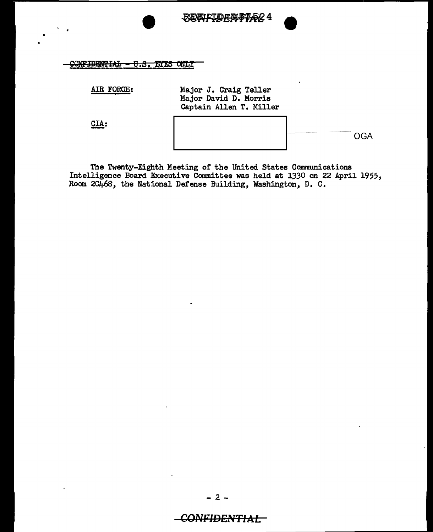

CONFIDENTIAL - U.S. EYES ONLY

AIR FORCE: Major J. Craig Teller Major David D. Morris Captain Allen T. Miller

CIA:

**OGA** 

The Twenty-Eighth Meeting of the United States Communications Intelligence Board Executive Committee was held at *1330* on 22 April 1955, Room 2C468, the National Defense Building, Washington, D. c.

## CONFIDENTIAL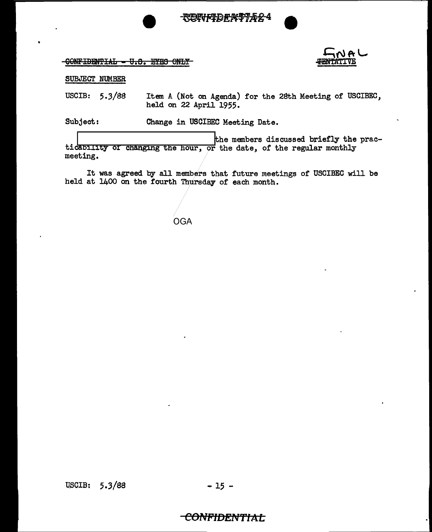



CONFIDENTIAL - U.S. EYES ONLY



SUBJECT NUMBER

USCIB:  $5.3/88$ Item A (Not on Agenda) for the 28th Meeting of USCIBEC, held on 22 April 1955.

Subject: Change in USCIBEC Meeting Date.

the members discussed briefly the practicability of changing the hour, or the date, of the regular monthly meeting.

It was agreed by all members that future meetings of USCIBEC will be held at 1400 on the fourth Thursday of each month.

**OGA** 

# <del>-CONFIDENTIAL</del>